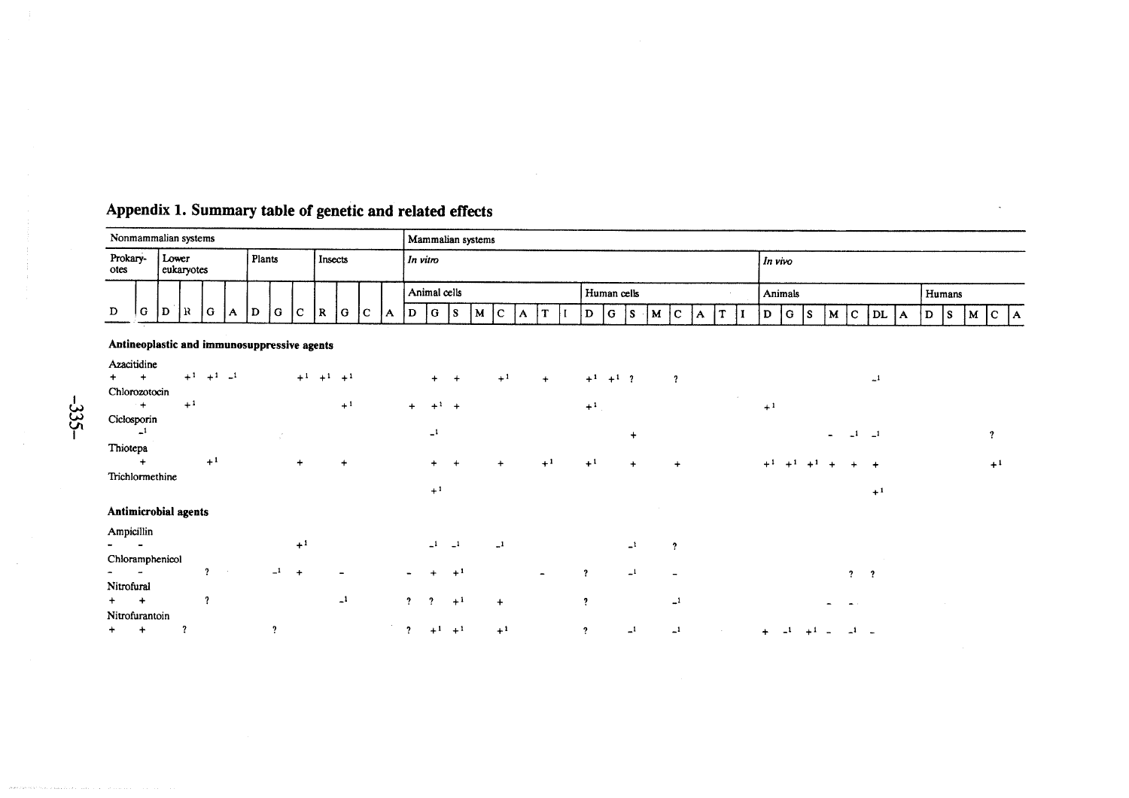## Appendix 1. Summary table of genetic and related effects

| Nonmammalian systems                                                                                                                                                                                                                  |                     |   |    |   |   |   |        |  |     |         |              |   | Mammalian systems |           |  |   |     |             |   |  |   |          |  |   |     |                          |          |     |       |  |     |  |      |  |   |    |   |        |    |
|---------------------------------------------------------------------------------------------------------------------------------------------------------------------------------------------------------------------------------------|---------------------|---|----|---|---|---|--------|--|-----|---------|--------------|---|-------------------|-----------|--|---|-----|-------------|---|--|---|----------|--|---|-----|--------------------------|----------|-----|-------|--|-----|--|------|--|---|----|---|--------|----|
| Prokary-<br>otes                                                                                                                                                                                                                      | Lower<br>eukarvotes |   |    |   |   |   | Plants |  |     | Insects |              |   |                   | In vitro  |  |   |     |             |   |  |   |          |  |   |     | In vivo                  |          |     |       |  |     |  |      |  |   |    |   |        |    |
|                                                                                                                                                                                                                                       |                     |   |    |   |   |   |        |  |     |         | Animal cells |   |                   |           |  |   |     | Human cells |   |  |   |          |  |   |     | <b>Animals</b><br>Humans |          |     |       |  |     |  |      |  |   |    |   |        |    |
| D                                                                                                                                                                                                                                     | G                   | D | lК | G | A | D | G C    |  | IR. | G       | l C          | A | D                 | G <br>IS. |  | M | 'C. | ١A          | m |  | D | $ G $ is |  | M | l C | A                        | <b>T</b> | l D | l GIS |  | M C |  | DL A |  | D | 1s | M | $1c$ , | ١A |
| $\mathbf{A}$ and $\mathbf{A}$ are assumed to the contract of the contract of the contract of the contract of the contract of the contract of the contract of the contract of the contract of the contract of the contract of the cont |                     |   |    |   |   |   |        |  |     |         |              |   |                   |           |  |   |     |             |   |  |   |          |  |   |     |                          |          |     |       |  |     |  |      |  |   |    |   |        |    |

## Antineoplastic and immunosuppressive agents

| Azacitidine<br>$+$<br>Chlorozotocin |      | $+1$ $+1$ $-1$          |               |      | $+1$ $+1$ $+1$ |                |                         | $+$          | $+$          | $+1$         | $+$  | $+1$                    | $+1$ ?       | $\overline{\mathbf{r}}$ |        |                      | $-1$                   |
|-------------------------------------|------|-------------------------|---------------|------|----------------|----------------|-------------------------|--------------|--------------|--------------|------|-------------------------|--------------|-------------------------|--------|----------------------|------------------------|
| $+$                                 | $+1$ |                         |               |      |                | $+1$           | $+$                     | $+1$         | $+$          |              |      | $+1$                    |              |                         | $\sim$ | $+1$                 |                        |
| Ciclosporin<br>$\mathbf{r}$         |      |                         | $\mathcal{F}$ |      |                |                |                         | $\mathbf{I}$ |              |              |      |                         | $\ddot{}$    |                         |        | $\blacksquare$       | $\mathbf{I}$<br>?      |
| Thiotepa                            |      |                         |               |      |                |                |                         |              |              |              |      |                         |              |                         |        |                      |                        |
| $\ddot{}$                           |      | $+1$                    |               | $+$  |                | $\ddot{}$      |                         | $+$          |              | $\div$       | $+1$ | $+1$                    | $\ddot{}$    | $+$                     |        | $+1$<br>$+1$<br>$+1$ | $+1$<br>$\overline{ }$ |
| Trichlormethine                     |      |                         |               |      |                |                |                         | $+1$         |              |              |      |                         |              |                         |        |                      | $+1$                   |
| Antimicrobial agents                |      |                         |               |      |                |                |                         |              |              |              |      |                         |              |                         |        |                      |                        |
| Ampicillin                          |      |                         |               | $+1$ |                |                |                         | $\mathbf{L}$ | $\mathbf{I}$ | $\mathbf{I}$ |      |                         | $\mathbf{I}$ | $\cdot$                 |        |                      |                        |
| Chloramphenicol                     |      |                         |               |      |                |                |                         |              |              |              |      |                         |              |                         |        |                      |                        |
|                                     |      | $\overline{\mathbf{r}}$ | $\mathbf{I}$  |      |                |                |                         |              | $+1$         |              | ÷    | $\mathbf{r}$            | $\mathbf{I}$ |                         |        | $\mathbf{?}$         | $\boldsymbol{\eta}$    |
| Nitrofural                          |      |                         |               |      |                |                |                         |              |              |              |      |                         |              |                         |        |                      |                        |
| $+$ $+$                             |      | $\gamma$                |               |      |                | $\mathbf{L}^1$ | $\mathbf{?}$            | $\gamma$     | $+1$         | $+$          |      | $\overline{\mathbf{?}}$ |              | $\mathbf{r}$            |        |                      |                        |
| Nitrofurantoin                      |      |                         |               |      |                |                |                         |              |              |              |      |                         |              |                         |        |                      |                        |
| $+$<br>$\ddot{\phantom{1}}$         | 7    |                         | ,             |      |                |                | $\overline{\mathbf{r}}$ | $+1$         | $+1$         | $+1$         |      | ?                       | $\mathbf{r}$ | $\mathbf{I}$            |        | $\ddot{}$            |                        |